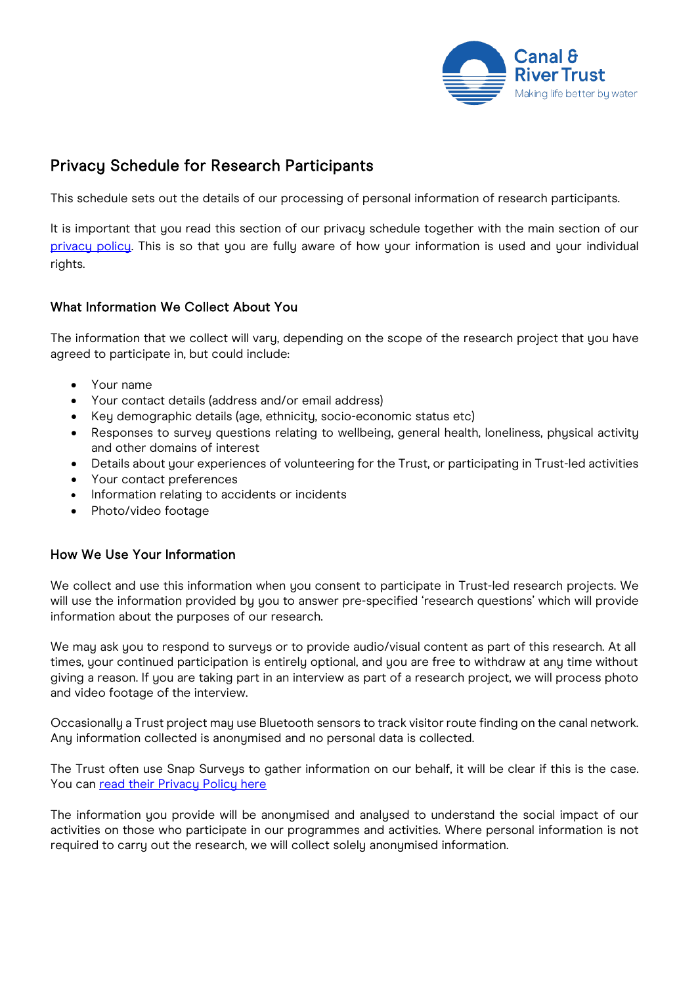

# Privacy Schedule for Research Participants

This schedule sets out the details of our processing of personal information of research participants.

It is important that you read this section of our privacy schedule together with the main section of our [privacy policy.](https://canalrivertrust.org.uk/cookie-and-privacy-policy) This is so that you are fully aware of how your information is used and your individual rights.

# What Information We Collect About You

The information that we collect will vary, depending on the scope of the research project that you have agreed to participate in, but could include:

- Your name
- Your contact details (address and/or email address)
- Key demographic details (age, ethnicity, socio-economic status etc)
- Responses to survey questions relating to wellbeing, general health, loneliness, physical activity and other domains of interest
- Details about your experiences of volunteering for the Trust, or participating in Trust-led activities
- Your contact preferences
- Information relating to accidents or incidents
- Photo/video footage

## How We Use Your Information

We collect and use this information when you consent to participate in Trust-led research projects. We will use the information provided by you to answer pre-specified 'research questions' which will provide information about the purposes of our research.

We may ask you to respond to surveys or to provide audio/visual content as part of this research. At all times, your continued participation is entirely optional, and you are free to withdraw at any time without giving a reason. If you are taking part in an interview as part of a research project, we will process photo and video footage of the interview.

Occasionally a Trust project may use Bluetooth sensors to track visitor route finding on the canal network. Any information collected is anonymised and no personal data is collected.

The Trust often use Snap Surveys to gather information on our behalf, it will be clear if this is the case. You can [read their Privacy Policy here](https://www.snapsurveys.com/survey-software/privacy-policy-uk/)

The information you provide will be anonymised and analysed to understand the social impact of our activities on those who participate in our programmes and activities. Where personal information is not required to carry out the research, we will collect solely anonymised information.